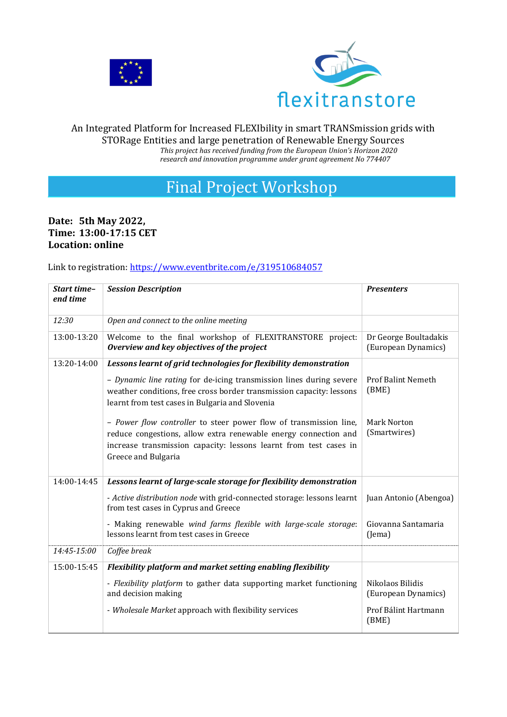



#### An Integrated Platform for Increased FLEXIbility in smart TRANSmission grids with STORage Entities and large penetration of Renewable Energy Sources *This project has received funding from the European Union's Horizon 2020 research and innovation programme under grant agreement No 774407*

# Final Project Workshop

# **Date: 5th May 2022, Time: 13:00-17:15 CET Location: online**

#### Link to registration:<https://www.eventbrite.com/e/319510684057>

| Start time-<br>end time | <b>Session Description</b>                                                                                                                                                                                                       | <b>Presenters</b>                            |
|-------------------------|----------------------------------------------------------------------------------------------------------------------------------------------------------------------------------------------------------------------------------|----------------------------------------------|
| 12:30                   | Open and connect to the online meeting                                                                                                                                                                                           |                                              |
| 13:00-13:20             | Welcome to the final workshop of FLEXITRANSTORE project:<br>Overview and key objectives of the project                                                                                                                           | Dr George Boultadakis<br>(European Dynamics) |
| 13:20-14:00             | Lessons learnt of grid technologies for flexibility demonstration                                                                                                                                                                |                                              |
|                         | - Dynamic line rating for de-icing transmission lines during severe<br>weather conditions, free cross border transmission capacity: lessons<br>learnt from test cases in Bulgaria and Slovenia                                   | <b>Prof Balint Nemeth</b><br>(BME)           |
|                         | - Power flow controller to steer power flow of transmission line,<br>reduce congestions, allow extra renewable energy connection and<br>increase transmission capacity: lessons learnt from test cases in<br>Greece and Bulgaria | Mark Norton<br>(Smartwires)                  |
| 14:00-14:45             | Lessons learnt of large-scale storage for flexibility demonstration                                                                                                                                                              |                                              |
|                         | - Active distribution node with grid-connected storage: lessons learnt<br>from test cases in Cyprus and Greece                                                                                                                   | Juan Antonio (Abengoa)                       |
|                         | - Making renewable wind farms flexible with large-scale storage:<br>lessons learnt from test cases in Greece                                                                                                                     | Giovanna Santamaria<br>(Jema)                |
| 14:45-15:00             | Coffee break                                                                                                                                                                                                                     |                                              |
| 15:00-15:45             | Flexibility platform and market setting enabling flexibility                                                                                                                                                                     |                                              |
|                         | - Flexibility platform to gather data supporting market functioning<br>and decision making                                                                                                                                       | Nikolaos Bilidis<br>(European Dynamics)      |
|                         | - Wholesale Market approach with flexibility services                                                                                                                                                                            | Prof Bálint Hartmann<br>(BME)                |